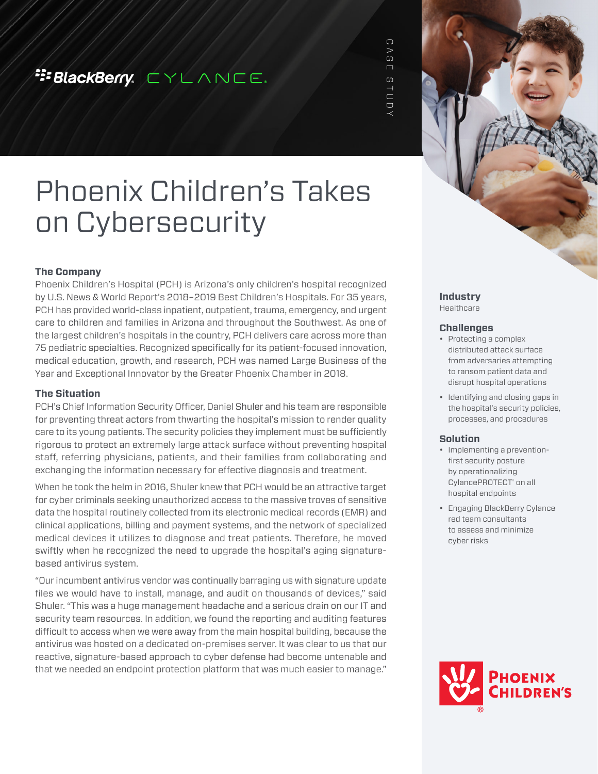## **E:BlackBerry.**  $\boxed{\subset}$   $\lor$   $\boxed{\sim}$   $\land$   $\land$   $\boxed{\subset}$ .

 $\bigcap$ CASE STUDY  $\triangleright$ CD  $\Box$  $\overline{c}$  $\begin{array}{c}\n1 \\
1\n\end{array}$ 

# Phoenix Children's Takes on Cybersecurity

#### **The Company**

Phoenix Children's Hospital (PCH) is Arizona's only children's hospital recognized by U.S. News & World Report's 2018–2019 Best Children's Hospitals. For 35 years, PCH has provided world-class inpatient, outpatient, trauma, emergency, and urgent care to children and families in Arizona and throughout the Southwest. As one of the largest children's hospitals in the country, PCH delivers care across more than 75 pediatric specialties. Recognized specifically for its patient-focused innovation, medical education, growth, and research, PCH was named Large Business of the Year and Exceptional Innovator by the Greater Phoenix Chamber in 2018.

#### **The Situation**

PCH's Chief Information Security Officer, Daniel Shuler and his team are responsible for preventing threat actors from thwarting the hospital's mission to render quality care to its young patients. The security policies they implement must be sufficiently rigorous to protect an extremely large attack surface without preventing hospital staff, referring physicians, patients, and their families from collaborating and exchanging the information necessary for effective diagnosis and treatment.

When he took the helm in 2016, Shuler knew that PCH would be an attractive target for cyber criminals seeking unauthorized access to the massive troves of sensitive data the hospital routinely collected from its electronic medical records (EMR) and clinical applications, billing and payment systems, and the network of specialized medical devices it utilizes to diagnose and treat patients. Therefore, he moved swiftly when he recognized the need to upgrade the hospital's aging signaturebased antivirus system.

"Our incumbent antivirus vendor was continually barraging us with signature update files we would have to install, manage, and audit on thousands of devices," said Shuler. "This was a huge management headache and a serious drain on our IT and security team resources. In addition, we found the reporting and auditing features difficult to access when we were away from the main hospital building, because the antivirus was hosted on a dedicated on-premises server. It was clear to us that our reactive, signature-based approach to cyber defense had become untenable and that we needed an endpoint protection platform that was much easier to manage."

#### **Industry**  Healthcare

#### **Challenges**

- Protecting a complex distributed attack surface from adversaries attempting to ransom patient data and disrupt hospital operations
- Identifying and closing gaps in the hospital's security policies, processes, and procedures

#### **Solution**

- Implementing a preventionfirst security posture by operationalizing CylancePROTECT<sup>®</sup> on all hospital endpoints
- Engaging BlackBerry Cylance red team consultants to assess and minimize cyber risks

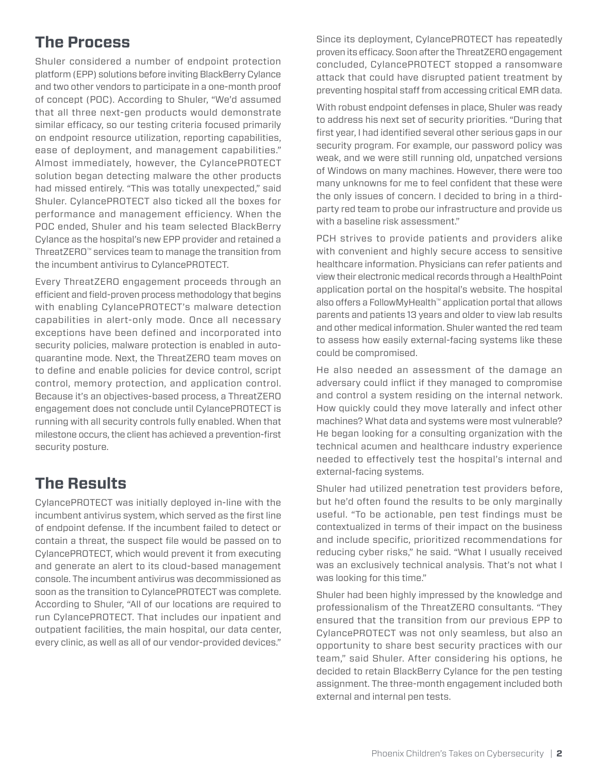## **The Process**

Shuler considered a number of endpoint protection platform (EPP) solutions before inviting BlackBerry Cylance and two other vendors to participate in a one-month proof of concept (POC). According to Shuler, "We'd assumed that all three next-gen products would demonstrate similar efficacy, so our testing criteria focused primarily on endpoint resource utilization, reporting capabilities, ease of deployment, and management capabilities." Almost immediately, however, the CylancePROTECT solution began detecting malware the other products had missed entirely. "This was totally unexpected," said Shuler. CylancePROTECT also ticked all the boxes for performance and management efficiency. When the POC ended, Shuler and his team selected BlackBerry Cylance as the hospital's new EPP provider and retained a ThreatZERO™ services team to manage the transition from the incumbent antivirus to CylancePROTECT.

Every ThreatZERO engagement proceeds through an efficient and field-proven process methodology that begins with enabling CylancePROTECT's malware detection capabilities in alert-only mode. Once all necessary exceptions have been defined and incorporated into security policies, malware protection is enabled in autoquarantine mode. Next, the ThreatZERO team moves on to define and enable policies for device control, script control, memory protection, and application control. Because it's an objectives-based process, a ThreatZERO engagement does not conclude until CylancePROTECT is running with all security controls fully enabled. When that milestone occurs, the client has achieved a prevention-first security posture.

## **The Results**

CylancePROTECT was initially deployed in-line with the incumbent antivirus system, which served as the first line of endpoint defense. If the incumbent failed to detect or contain a threat, the suspect file would be passed on to CylancePROTECT, which would prevent it from executing and generate an alert to its cloud-based management console. The incumbent antivirus was decommissioned as soon as the transition to CylancePROTECT was complete. According to Shuler, "All of our locations are required to run CylancePROTECT. That includes our inpatient and outpatient facilities, the main hospital, our data center, every clinic, as well as all of our vendor-provided devices." Since its deployment, CylancePROTECT has repeatedly proven its efficacy. Soon after the ThreatZERO engagement concluded, CylancePROTECT stopped a ransomware attack that could have disrupted patient treatment by preventing hospital staff from accessing critical EMR data.

With robust endpoint defenses in place, Shuler was ready to address his next set of security priorities. "During that first year, I had identified several other serious gaps in our security program. For example, our password policy was weak, and we were still running old, unpatched versions of Windows on many machines. However, there were too many unknowns for me to feel confident that these were the only issues of concern. I decided to bring in a thirdparty red team to probe our infrastructure and provide us with a baseline risk assessment."

PCH strives to provide patients and providers alike with convenient and highly secure access to sensitive healthcare information. Physicians can refer patients and view their electronic medical records through a HealthPoint application portal on the hospital's website. The hospital also offers a FollowMyHealth™ application portal that allows parents and patients 13 years and older to view lab results and other medical information. Shuler wanted the red team to assess how easily external-facing systems like these could be compromised.

He also needed an assessment of the damage an adversary could inflict if they managed to compromise and control a system residing on the internal network. How quickly could they move laterally and infect other machines? What data and systems were most vulnerable? He began looking for a consulting organization with the technical acumen and healthcare industry experience needed to effectively test the hospital's internal and external-facing systems.

Shuler had utilized penetration test providers before, but he'd often found the results to be only marginally useful. "To be actionable, pen test findings must be contextualized in terms of their impact on the business and include specific, prioritized recommendations for reducing cyber risks," he said. "What I usually received was an exclusively technical analysis. That's not what I was looking for this time."

Shuler had been highly impressed by the knowledge and professionalism of the ThreatZERO consultants. "They ensured that the transition from our previous EPP to CylancePROTECT was not only seamless, but also an opportunity to share best security practices with our team," said Shuler. After considering his options, he decided to retain BlackBerry Cylance for the pen testing assignment. The three-month engagement included both external and internal pen tests.